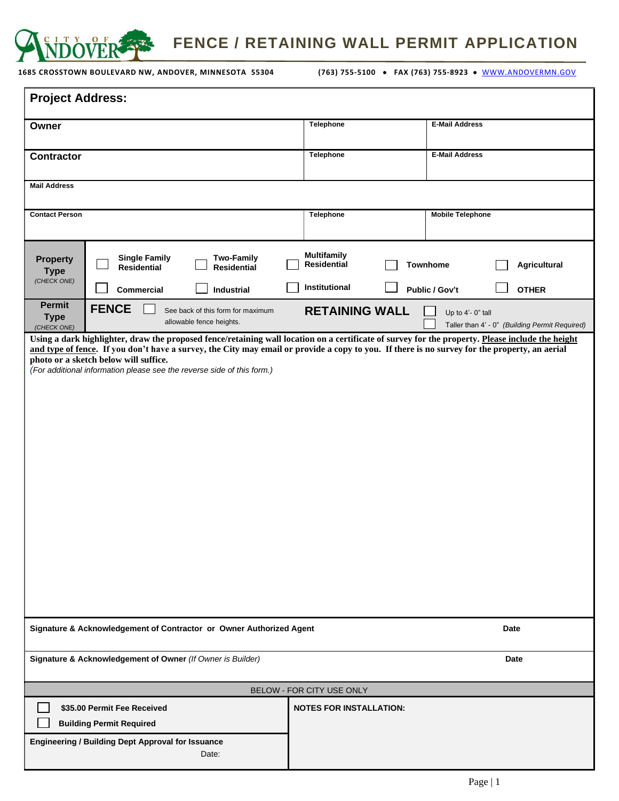

**FENCE / RETAINING WALL PERMIT APPLICATION**

**1685 CROSSTOWN BOULEVARD NW, ANDOVER, MINNESOTA 55304 (763) 755-5100** • **FAX (763) 755-8923** • [WWW.ANDOVERMN.GOV](http://www.andovermn.gov/)

| <b>Project Address:</b>                                             |                                                                        |                                                               |                                          |                                                                     |
|---------------------------------------------------------------------|------------------------------------------------------------------------|---------------------------------------------------------------|------------------------------------------|---------------------------------------------------------------------|
| Owner                                                               |                                                                        |                                                               | <b>Telephone</b>                         | <b>E-Mail Address</b>                                               |
| <b>Contractor</b>                                                   |                                                                        |                                                               | Telephone                                | <b>E-Mail Address</b>                                               |
| <b>Mail Address</b>                                                 |                                                                        |                                                               |                                          |                                                                     |
| <b>Contact Person</b>                                               |                                                                        |                                                               | Telephone                                | <b>Mobile Telephone</b>                                             |
| <b>Property</b><br><b>Type</b><br>(CHECK ONE)                       | <b>Single Family</b><br><b>Residential</b>                             | <b>Two-Family</b><br><b>Residential</b>                       | <b>Multifamily</b><br><b>Residential</b> | Agricultural<br><b>Townhome</b>                                     |
|                                                                     | Commercial                                                             | Industrial                                                    | Institutional                            | <b>OTHER</b><br>Public / Gov't                                      |
| Permit<br><b>Type</b><br>(CHECK ONE)                                | <b>FENCE</b>                                                           | See back of this form for maximum<br>allowable fence heights. | <b>RETAINING WALL</b>                    | Up to 4'- 0" tall<br>Taller than 4' - 0" (Building Permit Required) |
|                                                                     | (For additional information please see the reverse side of this form.) |                                                               |                                          | Date                                                                |
| Signature & Acknowledgement of Contractor or Owner Authorized Agent |                                                                        |                                                               |                                          |                                                                     |
| Signature & Acknowledgement of Owner (If Owner is Builder)          |                                                                        |                                                               |                                          | Date                                                                |
| BELOW - FOR CITY USE ONLY                                           |                                                                        |                                                               |                                          |                                                                     |
|                                                                     | \$35.00 Permit Fee Received<br><b>Building Permit Required</b>         |                                                               | <b>NOTES FOR INSTALLATION:</b>           |                                                                     |
|                                                                     | <b>Engineering / Building Dept Approval for Issuance</b>               | Date:                                                         |                                          |                                                                     |